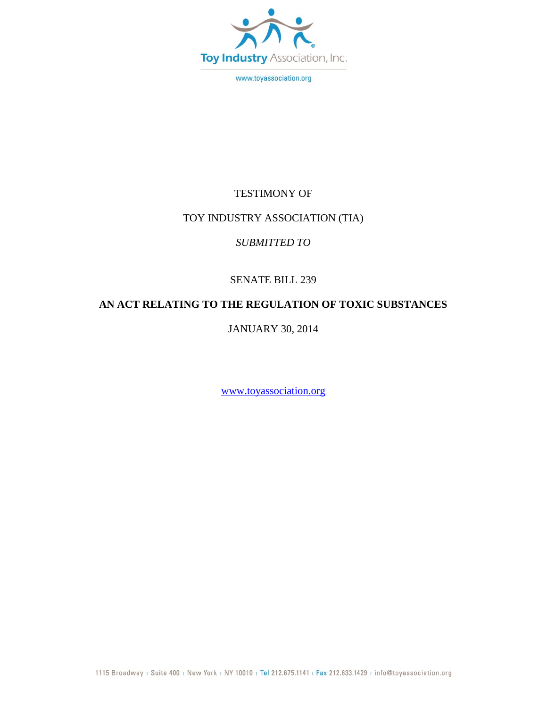

www.toyassociation.org

### TESTIMONY OF

#### TOY INDUSTRY ASSOCIATION (TIA)

### *SUBMITTED TO*

## SENATE BILL 239

## **AN ACT RELATING TO THE REGULATION OF TOXIC SUBSTANCES**

JANUARY 30, 2014

[www.toyassociation.org](http://www.toyassociation.org/)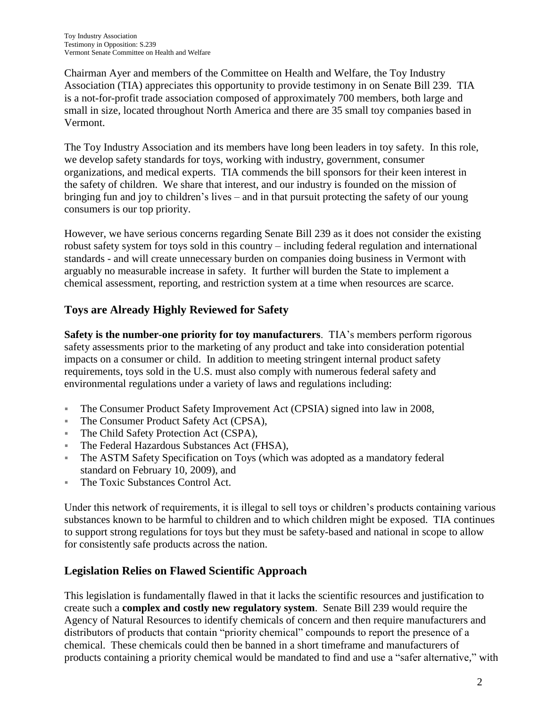Chairman Ayer and members of the Committee on Health and Welfare, the Toy Industry Association (TIA) appreciates this opportunity to provide testimony in on Senate Bill 239. TIA is a not-for-profit trade association composed of approximately 700 members, both large and small in size, located throughout North America and there are 35 small toy companies based in Vermont.

The Toy Industry Association and its members have long been leaders in toy safety. In this role, we develop safety standards for toys, working with industry, government, consumer organizations, and medical experts. TIA commends the bill sponsors for their keen interest in the safety of children. We share that interest, and our industry is founded on the mission of bringing fun and joy to children's lives – and in that pursuit protecting the safety of our young consumers is our top priority.

However, we have serious concerns regarding Senate Bill 239 as it does not consider the existing robust safety system for toys sold in this country – including federal regulation and international standards - and will create unnecessary burden on companies doing business in Vermont with arguably no measurable increase in safety. It further will burden the State to implement a chemical assessment, reporting, and restriction system at a time when resources are scarce.

# **Toys are Already Highly Reviewed for Safety**

**Safety is the number-one priority for toy manufacturers**. TIA's members perform rigorous safety assessments prior to the marketing of any product and take into consideration potential impacts on a consumer or child. In addition to meeting stringent internal product safety requirements, toys sold in the U.S. must also comply with numerous federal safety and environmental regulations under a variety of laws and regulations including:

- The Consumer Product Safety Improvement Act (CPSIA) signed into law in 2008,
- The Consumer Product Safety Act (CPSA),
- The Child Safety Protection Act (CSPA),
- The Federal Hazardous Substances Act (FHSA),
- The ASTM Safety Specification on Toys (which was adopted as a mandatory federal standard on February 10, 2009), and
- The Toxic Substances Control Act.

Under this network of requirements, it is illegal to sell toys or children's products containing various substances known to be harmful to children and to which children might be exposed. TIA continues to support strong regulations for toys but they must be safety-based and national in scope to allow for consistently safe products across the nation.

# **Legislation Relies on Flawed Scientific Approach**

This legislation is fundamentally flawed in that it lacks the scientific resources and justification to create such a **complex and costly new regulatory system**. Senate Bill 239 would require the Agency of Natural Resources to identify chemicals of concern and then require manufacturers and distributors of products that contain "priority chemical" compounds to report the presence of a chemical. These chemicals could then be banned in a short timeframe and manufacturers of products containing a priority chemical would be mandated to find and use a "safer alternative," with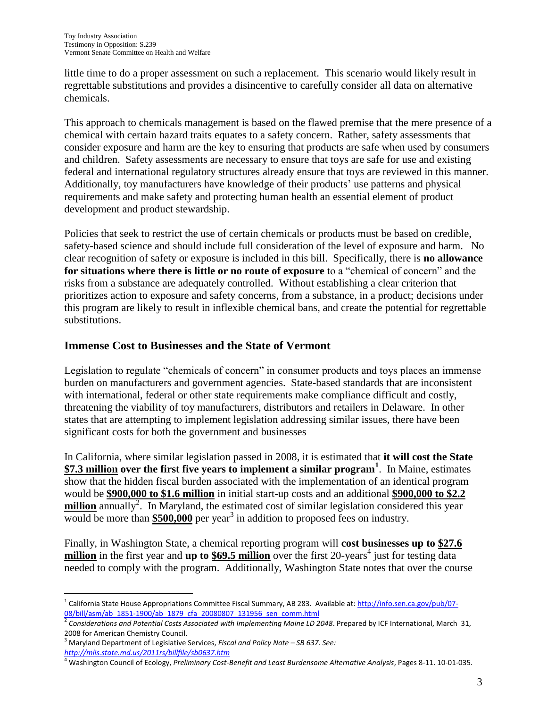little time to do a proper assessment on such a replacement. This scenario would likely result in regrettable substitutions and provides a disincentive to carefully consider all data on alternative chemicals.

This approach to chemicals management is based on the flawed premise that the mere presence of a chemical with certain hazard traits equates to a safety concern. Rather, safety assessments that consider exposure and harm are the key to ensuring that products are safe when used by consumers and children. Safety assessments are necessary to ensure that toys are safe for use and existing federal and international regulatory structures already ensure that toys are reviewed in this manner. Additionally, toy manufacturers have knowledge of their products' use patterns and physical requirements and make safety and protecting human health an essential element of product development and product stewardship.

Policies that seek to restrict the use of certain chemicals or products must be based on credible, safety-based science and should include full consideration of the level of exposure and harm. No clear recognition of safety or exposure is included in this bill. Specifically, there is **no allowance for situations where there is little or no route of exposure** to a "chemical of concern" and the risks from a substance are adequately controlled. Without establishing a clear criterion that prioritizes action to exposure and safety concerns, from a substance, in a product; decisions under this program are likely to result in inflexible chemical bans, and create the potential for regrettable substitutions.

### **Immense Cost to Businesses and the State of Vermont**

Legislation to regulate "chemicals of concern" in consumer products and toys places an immense burden on manufacturers and government agencies. State-based standards that are inconsistent with international, federal or other state requirements make compliance difficult and costly, threatening the viability of toy manufacturers, distributors and retailers in Delaware. In other states that are attempting to implement legislation addressing similar issues, there have been significant costs for both the government and businesses

In California, where similar legislation passed in 2008, it is estimated that **it will cost the State \$7.3 million over the first five years to implement a similar program<sup>1</sup>** . In Maine, estimates show that the hidden fiscal burden associated with the implementation of an identical program would be **\$900,000 to \$1.6 million** in initial start-up costs and an additional **\$900,000 to \$2.2**  million annually<sup>2</sup>. In Maryland, the estimated cost of similar legislation considered this year would be more than  $$500,000$  per year<sup>3</sup> in addition to proposed fees on industry.

Finally, in Washington State, a chemical reporting program will **cost businesses up to \$27.6**  million in the first year and up to \$69.5 million over the first 20-years<sup>4</sup> just for testing data needed to comply with the program. Additionally, Washington State notes that over the course

 $\overline{a}$ <sup>1</sup> California State House Appropriations Committee Fiscal Summary, AB 283. Available at[: http://info.sen.ca.gov/pub/07-](http://info.sen.ca.gov/pub/07-08/bill/asm/ab_1851-1900/ab_1879_cfa_20080807_131956_sen_comm.html) [08/bill/asm/ab\\_1851-1900/ab\\_1879\\_cfa\\_20080807\\_131956\\_sen\\_comm.html](http://info.sen.ca.gov/pub/07-08/bill/asm/ab_1851-1900/ab_1879_cfa_20080807_131956_sen_comm.html)

<sup>2</sup> *Considerations and Potential Costs Associated with Implementing Maine LD 2048*. Prepared by ICF International, March 31, 2008 for American Chemistry Council.

<sup>3</sup> Maryland Department of Legislative Services, *Fiscal and Policy Note – SB 637. See: <http://mlis.state.md.us/2011rs/billfile/sb0637.htm>*

<sup>4</sup> Washington Council of Ecology, *Preliminary Cost-Benefit and Least Burdensome Alternative Analysis*, Pages 8-11. 10-01-035.